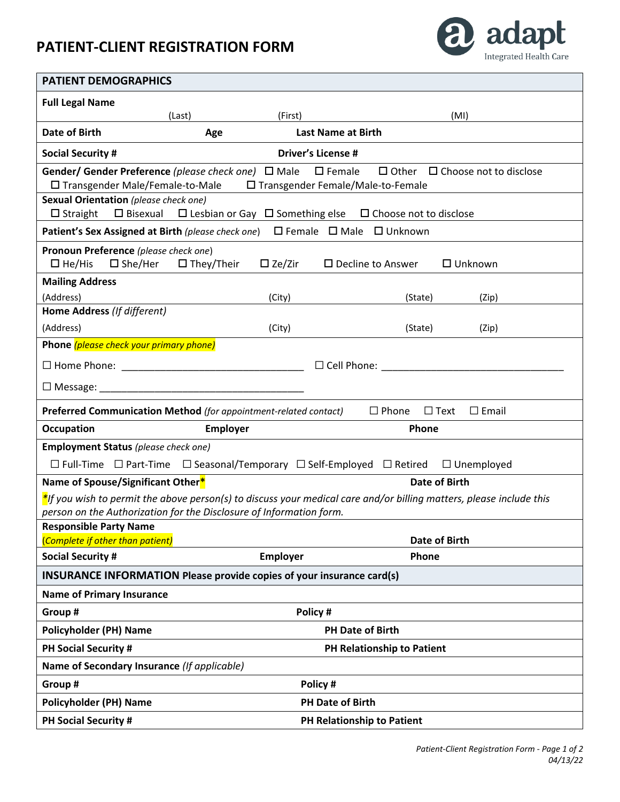## **PATIENT-CLIENT REGISTRATION FORM**



| <b>PATIENT DEMOGRAPHICS</b>                                                                                                                                                                    |                            |                  |                                               |  |
|------------------------------------------------------------------------------------------------------------------------------------------------------------------------------------------------|----------------------------|------------------|-----------------------------------------------|--|
| <b>Full Legal Name</b>                                                                                                                                                                         |                            |                  |                                               |  |
|                                                                                                                                                                                                | (Last)                     | (First)          | (MI)                                          |  |
| <b>Date of Birth</b>                                                                                                                                                                           | Age                        |                  | <b>Last Name at Birth</b>                     |  |
| <b>Driver's License #</b><br><b>Social Security #</b>                                                                                                                                          |                            |                  |                                               |  |
| Gender/ Gender Preference (please check one) □ Male<br>$\square$ Female<br>$\Box$ Other $\Box$ Choose not to disclose<br>□ Transgender Male/Female-to-Male □ Transgender Female/Male-to-Female |                            |                  |                                               |  |
| Sexual Orientation (please check one)<br>$\square$ Straight<br>□ Bisexual □ Lesbian or Gay □ Something else □ Choose not to disclose                                                           |                            |                  |                                               |  |
| Patient's Sex Assigned at Birth (please check one) □ Female □ Male □ Unknown                                                                                                                   |                            |                  |                                               |  |
| Pronoun Preference (please check one)<br>$\Box$ He/His<br>$\square$ She/Her                                                                                                                    | $\square$ They/Their       | $\square$ Ze/Zir | $\square$ Decline to Answer<br>$\Box$ Unknown |  |
| <b>Mailing Address</b>                                                                                                                                                                         |                            |                  |                                               |  |
| (Address)                                                                                                                                                                                      |                            | (City)           | (State)<br>(Zip)                              |  |
| Home Address (If different)                                                                                                                                                                    |                            |                  |                                               |  |
| (Address)                                                                                                                                                                                      |                            | (City)           | (State)<br>(Zip)                              |  |
| Phone (please check your primary phone)                                                                                                                                                        |                            |                  |                                               |  |
|                                                                                                                                                                                                | $\Box$ Cell Phone:         |                  |                                               |  |
|                                                                                                                                                                                                |                            |                  |                                               |  |
| $\Box$ Phone $\Box$ Text<br>Preferred Communication Method (for appointment-related contact)<br>$\square$ Email                                                                                |                            |                  |                                               |  |
| <b>Occupation</b>                                                                                                                                                                              | <b>Employer</b>            |                  | Phone                                         |  |
| <b>Employment Status</b> (please check one)                                                                                                                                                    |                            |                  |                                               |  |
| $\Box$ Full-Time $\Box$ Part-Time $\Box$ Seasonal/Temporary $\Box$ Self-Employed $\Box$ Retired<br>$\Box$ Unemployed                                                                           |                            |                  |                                               |  |
| Name of Spouse/Significant Other*                                                                                                                                                              |                            |                  | Date of Birth                                 |  |
| $*$ If you wish to permit the above person(s) to discuss your medical care and/or billing matters, please include this                                                                         |                            |                  |                                               |  |
| person on the Authorization for the Disclosure of Information form.<br><b>Responsible Party Name</b>                                                                                           |                            |                  |                                               |  |
| (Complete if other than patient)                                                                                                                                                               |                            |                  | Date of Birth                                 |  |
| <b>Social Security #</b>                                                                                                                                                                       |                            | <b>Employer</b>  | Phone                                         |  |
| INSURANCE INFORMATION Please provide copies of your insurance card(s)                                                                                                                          |                            |                  |                                               |  |
| <b>Name of Primary Insurance</b>                                                                                                                                                               |                            |                  |                                               |  |
| Group #                                                                                                                                                                                        |                            | Policy#          |                                               |  |
| <b>Policyholder (PH) Name</b>                                                                                                                                                                  | <b>PH Date of Birth</b>    |                  |                                               |  |
| PH Social Security #                                                                                                                                                                           | PH Relationship to Patient |                  |                                               |  |
| Name of Secondary Insurance (If applicable)                                                                                                                                                    |                            |                  |                                               |  |
| Policy #<br>Group #                                                                                                                                                                            |                            |                  |                                               |  |
| <b>Policyholder (PH) Name</b>                                                                                                                                                                  |                            |                  | <b>PH Date of Birth</b>                       |  |
| PH Social Security #                                                                                                                                                                           | PH Relationship to Patient |                  |                                               |  |